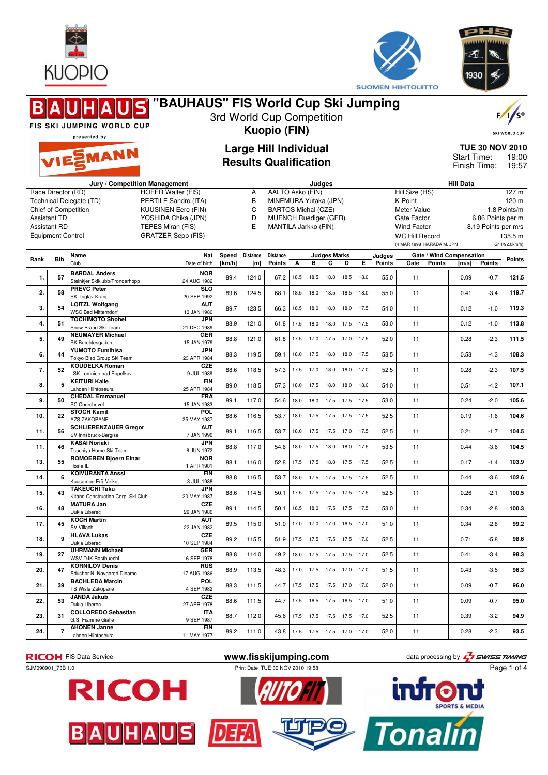



≼

| "BAUHAUS" FIS World Cup Ski Jumping<br>$\mathbf{S}$<br>3rd World Cup Competition<br>FIS SKI JUMPING WORLD CUP<br><b>Kuopio (FIN)</b><br>presented by                                                                                                                                                        |                |                                                            |                           |                  |                  |                                                                                                             |      |                              |                                                                         |                |                |                           |                                                                                      |                                                                              | $F/I/S^{\circ}$<br><b>SKI WORLD CUP</b> |       |  |
|-------------------------------------------------------------------------------------------------------------------------------------------------------------------------------------------------------------------------------------------------------------------------------------------------------------|----------------|------------------------------------------------------------|---------------------------|------------------|------------------|-------------------------------------------------------------------------------------------------------------|------|------------------------------|-------------------------------------------------------------------------|----------------|----------------|---------------------------|--------------------------------------------------------------------------------------|------------------------------------------------------------------------------|-----------------------------------------|-------|--|
|                                                                                                                                                                                                                                                                                                             |                | VIESMANN                                                   |                           |                  |                  | <b>Large Hill Individual</b><br><b>Results Qualification</b>                                                |      |                              | <b>TUE 30 NOV 2010</b><br>Start Time:<br>19:00<br>Finish Time:<br>19:57 |                |                |                           |                                                                                      |                                                                              |                                         |       |  |
|                                                                                                                                                                                                                                                                                                             |                | Jury / Competition Management                              | Α                         | AALTO Asko (FIN) |                  | Judges                                                                                                      |      |                              |                                                                         |                | Hill Size (HS) | <b>Hill Data</b><br>127 m |                                                                                      |                                                                              |                                         |       |  |
| Race Director (RD)<br><b>HOFER Walter (FIS)</b><br>Technical Delegate (TD)<br>PERTILE Sandro (ITA)<br>Chief of Competition<br><b>KUUSINEN Eero (FIN)</b><br><b>Assistant TD</b><br>YOSHIDA Chika (JPN)<br><b>Assistant RD</b><br>TEPES Miran (FIS)<br><b>Equipment Control</b><br><b>GRATZER Sepp (FIS)</b> |                |                                                            |                           |                  | B<br>C<br>D<br>E | MINEMURA Yutaka (JPN)<br><b>BARTOS Michal (CZE)</b><br><b>MUENCH Ruediger (GER)</b><br>MANTILA Jarkko (FIN) |      |                              |                                                                         |                |                |                           | K-Point<br>Meter Value<br>Gate Factor<br><b>Wind Factor</b><br><b>WC Hill Record</b> | 120 m<br>1.8 Points/m<br>6.86 Points per m<br>8.19 Points per m/s<br>135.5 m |                                         |       |  |
|                                                                                                                                                                                                                                                                                                             |                | Name                                                       | Nat                       | Speed            | <b>Distance</b>  | <b>Distance</b>                                                                                             |      |                              | <b>Judges Marks</b>                                                     |                |                | Judges                    | (4 MAR 1998 HARADA M. JPN                                                            | G11/92.0km/h)                                                                |                                         |       |  |
| Rank                                                                                                                                                                                                                                                                                                        | <b>Bib</b>     | Club                                                       | Date of birth             | [km/h]           | [m]              | Points                                                                                                      | A    | в                            | C                                                                       | D              | E.             | <b>Points</b>             | Gate<br>Points                                                                       | Gate / Wind Compensation<br>Points<br>[m/s]<br>Points                        |                                         |       |  |
| 1.                                                                                                                                                                                                                                                                                                          | 57             | <b>BARDAL Anders</b><br>Steinkier Skiklubb/Tronderhopp     | <b>NOR</b><br>24 AUG 1982 | 89.4             | 124.0            | 67.2                                                                                                        | 18.5 | 18.5                         | 18.0                                                                    | 18.5           | 18.0           | 55.0                      | 11                                                                                   | 0.09                                                                         | $-0.7$                                  | 121.5 |  |
| 2.                                                                                                                                                                                                                                                                                                          | 58             | <b>PREVC Peter</b><br>SK Triglav Kranj                     | <b>SLO</b><br>20 SEP 1992 | 89.6             | 124.5            | 68.1                                                                                                        | 18.5 | 18.0                         |                                                                         | 18.5 18.5      | 18.0           | 55.0                      | 11                                                                                   | 0.41                                                                         | $-3.4$                                  | 119.7 |  |
| 3.                                                                                                                                                                                                                                                                                                          | 54             | <b>LOITZL Wolfgang</b><br><b>WSC Bad Mitterndorf</b>       | AUT<br>13 JAN 1980        | 89.7             | 123.5            | 66.3                                                                                                        |      | 18.5 18.0                    |                                                                         | 18.0 18.0 17.5 |                | 54.0                      | 11                                                                                   | 0.12                                                                         | $-1.0$                                  | 119.3 |  |
| 4.                                                                                                                                                                                                                                                                                                          | 51             | <b>TOCHIMOTO Shohei</b><br>Snow Brand Ski Team             | JPN<br>21 DEC 1989        | 88.9             | 121.0            | 61.8                                                                                                        | 17.5 | 18.0                         | 18.0                                                                    | 17.5           | 17.5           | 53.0                      | 11                                                                                   | 0.12                                                                         | $-1.0$                                  | 113.8 |  |
| 5.                                                                                                                                                                                                                                                                                                          | 49             | <b>NEUMAYER Michael</b><br>SK Berchtesgaden                | GER<br>15 JAN 1979        | 88.8             | 121.0            | 61.8                                                                                                        | 17.5 | 17.0                         | 17.5                                                                    | 17.0           | 17.5           | 52.0                      | 11                                                                                   | 0.28                                                                         | $-2.3$                                  | 111.5 |  |
| 6.                                                                                                                                                                                                                                                                                                          | 44             | <b>YUMOTO Fumihisa</b><br>Tokyo Biso Group Ski Team        | JPN<br>23 APR 1984        | 88.3             | 119.5            | 59.1                                                                                                        | 18.0 | 17.5                         | 18.0                                                                    | 18.0           | 17.5           | 53.5                      | 11                                                                                   | 0.53                                                                         | $-4.3$                                  | 108.3 |  |
| 7.                                                                                                                                                                                                                                                                                                          | 52             | <b>KOUDELKA Roman</b><br><b>LSK Lomnice nad Popelkov</b>   | <b>CZE</b><br>9 JUL 1989  | 88.6             | 118.5            | 57.3                                                                                                        |      | 17.5 17.0                    |                                                                         | 18.0 18.0 17.0 |                | 52.5                      | 11                                                                                   | 0.28                                                                         | $-2.3$                                  | 107.5 |  |
| 8.                                                                                                                                                                                                                                                                                                          | 5              | <b>KEITURI Kalle</b><br>Lahden Hiihtoseura                 | <b>FIN</b><br>25 APR 1984 | 89.0             | 118.5            | 57.3                                                                                                        |      | 18.0 17.5                    | 18.0 18.0 18.0                                                          |                |                | 54.0                      | 11                                                                                   | 0.51                                                                         | $-4.2$                                  | 107.1 |  |
| 9.                                                                                                                                                                                                                                                                                                          | 50             | <b>CHEDAL Emmanuel</b><br><b>SC Courchevel</b>             | <b>FRA</b><br>15 JAN 1983 | 89.1             | 117.0            | 54.6                                                                                                        | 18.0 | 18.0                         |                                                                         | 17.5 17.5      | 17.5           | 53.0                      | 11                                                                                   | 0.24                                                                         | $-2.0$                                  | 105.6 |  |
| 10.                                                                                                                                                                                                                                                                                                         | 22             | <b>STOCH Kamil</b><br>AZS ZAKOPANE                         | <b>POL</b><br>25 MAY 1987 | 88.6             | 116.5            | 53.7                                                                                                        | 18.0 | 17.5                         | 17.5 17.5 17.5                                                          |                |                | 52.5                      | 11                                                                                   | 0.19                                                                         | $-1.6$                                  | 104.6 |  |
| 11.                                                                                                                                                                                                                                                                                                         | 56             | <b>SCHLIERENZAUER Gregor</b><br>SV Innsbruck-Bergisel      | <b>AUT</b><br>7 JAN 1990  | 89.1             | 116.5            | 53.7                                                                                                        | 18.0 | 17.5                         | 17.5                                                                    | 17.0           | 17.5           | 52.5                      | 11                                                                                   | 0.21                                                                         | $-1.7$                                  | 104.5 |  |
| 11.                                                                                                                                                                                                                                                                                                         | 46             | <b>KASAI Noriaki</b><br>Tsuchiya Home Ski Team             | JPN<br>6 JUN 1972         | 88.8             | 117.0            | 54.6                                                                                                        | 18.0 | 17.5                         | 18.0 18.0 17.5                                                          |                |                | 53.5                      | 11                                                                                   | 0.44                                                                         | $-3.6$                                  | 104.5 |  |
| 13.                                                                                                                                                                                                                                                                                                         | 55             | <b>ROMOEREN Bjoern Einar</b><br>Hosle IL                   | <b>NOR</b><br>1 APR 1981  | 88.1             | 116.0            | 52.8                                                                                                        |      | 17.5 17.5                    | 18.0 17.5 17.5                                                          |                |                | 52.5                      | 11                                                                                   | 0.17                                                                         | $-1.4$                                  | 103.9 |  |
| 14.                                                                                                                                                                                                                                                                                                         | 6              | <b>KOIVURANTA Anssi</b><br>Kuusamon Erä-Veikot             | <b>FIN</b><br>3 JUL 1988  | 88.8             | 116.5            | 53.7                                                                                                        | 18.0 | 17.5                         |                                                                         | 17.5 17.5      | 17.5           | 52.5                      | 11                                                                                   | 0.44                                                                         | $-3.6$                                  | 102.6 |  |
| 15.                                                                                                                                                                                                                                                                                                         | 43             | <b>TAKEUCHI Taku</b><br>Kitano Construction Corp. Ski Club | JPN<br>20 MAY 1987        | 88.6             | 114.5            | 50.1                                                                                                        |      | 17.5 17.5 17.5 17.5 17.5     |                                                                         |                |                | 52.5                      | 11                                                                                   | 0.26                                                                         | $-2.1$                                  | 100.5 |  |
| 16.                                                                                                                                                                                                                                                                                                         | 48             | <b>MATURA Jan</b><br>Dukla Liberec                         | CZE<br>29 JAN 1980        | 89.1             | 114.5            | 50.1                                                                                                        |      | 18.5 18.0 17.5 17.5 17.5     |                                                                         |                |                | 53.0                      | 11                                                                                   | 0.34                                                                         | $-2.8$                                  | 100.3 |  |
| 17.                                                                                                                                                                                                                                                                                                         | 45             | <b>KOCH Martin</b><br>SV Villach                           | <b>AUT</b><br>22 JAN 1982 | 89.5             | 115.0            | 51.0                                                                                                        |      | 17.0 17.0 17.0 16.5 17.0     |                                                                         |                |                | 51.0                      | 11                                                                                   | 0.34                                                                         | $-2.8$                                  | 99.2  |  |
| 18.                                                                                                                                                                                                                                                                                                         | $\mathbf{q}$   | <b>HLAVA Lukas</b><br>Dukla Liberec                        | CZE<br>10 SEP 1984        | 89.2             | 115.5            | 51.9                                                                                                        |      | 17.5 17.5 17.5 17.5 17.0     |                                                                         |                |                | 52.5                      | 11                                                                                   | 0.71                                                                         | $-5.8$                                  | 98.6  |  |
| 19.                                                                                                                                                                                                                                                                                                         | 27             | <b>UHRMANN Michael</b><br>WSV DJK Rastbuechl               | GER<br>16 SEP 1978        | 88.8             | 114.0            | 49.2                                                                                                        |      | 18.0 17.5 17.5 17.5 17.0     |                                                                         |                |                | 52.5                      | 11                                                                                   | 0.41                                                                         | $-3.4$                                  | 98.3  |  |
| 20.                                                                                                                                                                                                                                                                                                         | 47             | <b>KORNILOV Denis</b><br>Sdushor N. Novgorod Dinamo        | <b>RUS</b><br>17 AUG 1986 | 88.9             | 113.5            | 48.3                                                                                                        |      | 17.0  17.5  17.5  17.0  17.0 |                                                                         |                |                | 51.5                      | 11                                                                                   | 0.43                                                                         | $-3.5$                                  | 96.3  |  |
| 21.                                                                                                                                                                                                                                                                                                         | 39             | <b>BACHLEDA Marcin</b><br>TS Wisla Zakopane                | POL<br>4 SEP 1982         | 88.3             | 111.5            | 44.7                                                                                                        |      | 17.5 17.5 17.5 17.0 17.0     |                                                                         |                |                | 52.0                      | 11                                                                                   | 0.09                                                                         | $-0.7$                                  | 96.0  |  |
| 22.                                                                                                                                                                                                                                                                                                         | 53             | <b>JANDA Jakub</b><br>Dukla Liberec                        | CZE<br>27 APR 1978        | 88.6             | 111.5            | 44.7                                                                                                        |      | 17.5  16.5  17.5  16.5  17.0 |                                                                         |                |                | 51.0                      | 11                                                                                   | 0.09                                                                         | $-0.7$                                  | 95.0  |  |
| 23.                                                                                                                                                                                                                                                                                                         | 31             | <b>COLLOREDO Sebastian</b><br>G.S. Fiamme Gialle           | <b>ITA</b><br>9 SEP 1987  | 88.7             | 112.0            | 45.6                                                                                                        |      | 17.5  17.5  17.5  17.5  17.0 |                                                                         |                |                | 52.5                      | 11                                                                                   | 0.39                                                                         | $-3.2$                                  | 94.9  |  |
| 24.                                                                                                                                                                                                                                                                                                         | $\overline{7}$ | <b>AHONEN Janne</b><br>Lahden Hiihtoseura                  | <b>FIN</b><br>11 MAY 1977 | 89.2             | 111.0            | 43.8                                                                                                        |      | 17.5 17.5 17.5 17.0 17.0     |                                                                         |                |                | 52.0                      | 11                                                                                   | 0.28                                                                         | $-2.3$                                  | 93.5  |  |







BAUHAUS DEA



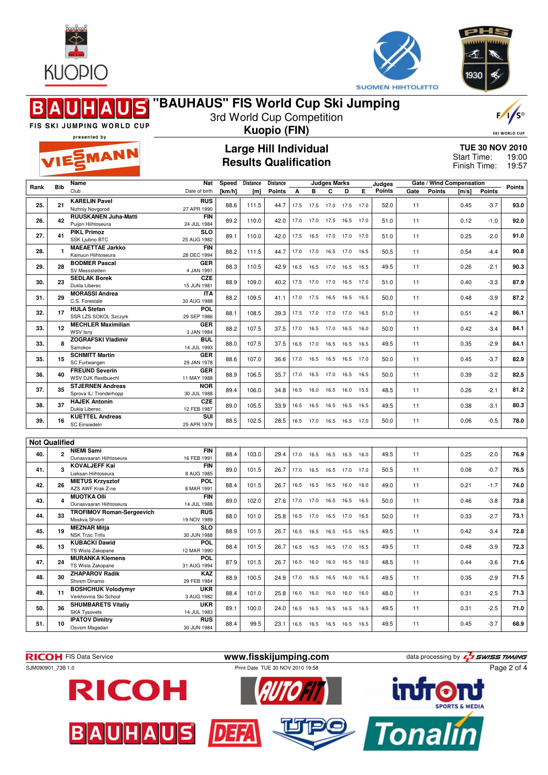



|      |                      |                                                    | "BAUHAUS" FIS World Cup Ski Jumping                          |                 |                 |                                  |      |      |                              |           |      |                         |      |        |                                                       |                      | $F/1/S^{\circ}$ |  |  |
|------|----------------------|----------------------------------------------------|--------------------------------------------------------------|-----------------|-----------------|----------------------------------|------|------|------------------------------|-----------|------|-------------------------|------|--------|-------------------------------------------------------|----------------------|-----------------|--|--|
|      |                      | FIS SKI JUMPING WORLD CUP                          | 3rd World Cup Competition<br><b>Kuopio (FIN)</b>             |                 |                 |                                  |      |      |                              |           |      |                         |      |        |                                                       | <b>SKI WORLD CUP</b> |                 |  |  |
|      |                      | presented by<br>VIESMANN                           | <b>Large Hill Individual</b><br><b>Results Qualification</b> |                 |                 |                                  |      |      |                              |           |      |                         |      |        | <b>TUE 30 NOV 2010</b><br>Start Time:<br>Finish Time: |                      |                 |  |  |
| Rank | <b>Bib</b>           | Name<br>Club                                       | Nat<br>Date of birth                                         | Speed<br>[km/h] | Distance<br>[m] | <b>Distance</b><br><b>Points</b> | А    | в    | <b>Judges Marks</b><br>C     | D         | Е    | Judges<br><b>Points</b> | Gate | Points | Gate / Wind Compensation<br>[m/s]                     | <b>Points</b>        | <b>Points</b>   |  |  |
| 25.  | 21                   | <b>KARELIN Pavel</b><br>Nizhniy Novgorod           | <b>RUS</b><br>27 APR 1990                                    | 88.6            | 111.5           | 44.7                             | 17.5 | 17.5 | 17.0 17.5                    |           | 17.0 | 52.0                    | 11   |        | 0.45                                                  | $-3.7$               | 93.0            |  |  |
| 26.  | 42                   | <b>RUUSKANEN Juha-Matti</b><br>Puijon Hiihtoseura  | <b>FIN</b><br>24 JUL 1984                                    | 89.2            | 110.0           | 42.0                             | 17.0 | 17.0 | 17.5 16.5                    |           | 17.0 | 51.0                    | 11   |        | 0.12                                                  | $-1.0$               | 92.0            |  |  |
| 27.  | 41                   | <b>PIKL Primoz</b><br>SSK Ljubno BTC               | <b>SLO</b><br>25 AUG 1982                                    | 89.1            | 110.0           | 42.0                             | 17.5 | 16.5 | 17.0                         | 17.0      | 17.0 | 51.0                    | 11   |        | 0.25                                                  | $-2.0$               | 91.0            |  |  |
| 28.  | -1                   | <b>MAEAETTAE Jarkko</b><br>Kainuun Hiihtoseura     | <b>FIN</b><br>28 DEC 1994                                    | 88.2            | 111.5           | 44.7                             | 17.0 | 17.0 |                              | 16.5 17.0 | 16.5 | 50.5                    | 11   |        | 0.54                                                  | -4.4                 | 90.8            |  |  |
| 29.  | 28                   | <b>BODMER Pascal</b><br>SV Messstetten             | GER<br>4 JAN 1991                                            | 88.3            | 110.5           | 42.9                             | 16.5 | 16.5 | 17.0 16.5                    |           | 16.5 | 49.5                    | 11   |        | 0.26                                                  | -2.1                 | 90.3            |  |  |
| 30.  | 23                   | <b>SEDLAK Borek</b><br>Dukla Liberec               | CZE<br>15 JUN 1981                                           | 88.9            | 109.0           | 40.2                             | 17.5 | 17.0 | 17.0                         | 16.5      | 17.0 | 51.0                    | 11   |        | 0.40                                                  | $-3.3$               | 87.9            |  |  |
| 31.  | 29                   | <b>MORASSI Andrea</b><br>C.S. Forestale            | <b>ITA</b><br>30 AUG 1988                                    | 88.2            | 109.5           | 41.1                             | 17.0 | 17.5 | 16.5 16.5                    |           | 16.5 | 50.0                    | 11   |        | 0.48                                                  | $-3.9$               | 87.2            |  |  |
| 32.  | 17                   | <b>HULA Stefan</b><br><b>SSR LZS SOKOL Szczyrk</b> | POL<br>29 SEP 1986                                           | 88.1            | 108.5           | 39.3                             | 17.5 | 17.0 | 17.0                         | 17.0      | 16.5 | 51.0                    | 11   |        | 0.51                                                  | $-4.2$               | 86.1            |  |  |
| 33.  | 12                   | <b>MECHLER Maximilian</b><br>WSV Isny              | <b>GER</b><br>3 JAN 1984                                     | 88.2            | 107.5           | 37.5                             | 17.0 | 16.5 | 17.0 16.5                    |           | 16.0 | 50.0                    | 11   |        | 0.42                                                  | $-3.4$               | 84.1            |  |  |
| 33.  | 8                    | <b>ZOGRAFSKI Vladimir</b><br>Samokov               | <b>BUL</b><br>14 JUL 1993                                    | 88.0            | 107.5           | 37.5                             | 16.5 | 17.0 | 16.5 16.5                    |           | 16.5 | 49.5                    | 11   |        | 0.35                                                  | $-2.9$               | 84.1            |  |  |
| 35.  | 15                   | <b>SCHMITT Martin</b><br>SC Furtwangen             | GER<br>29 JAN 1978                                           | 88.6            | 107.0           | 36.6                             | 17.0 | 16.5 | 16.5                         | 16.5      | 17.0 | 50.0                    | 11   |        | 0.45                                                  | $-3.7$               | 82.9            |  |  |
| 36.  | 40                   | <b>FREUND Severin</b><br><b>WSV DJK Rastbuechl</b> | GER<br>11 MAY 1988                                           | 88.9            | 106.5           | 35.7                             | 17.0 | 16.5 | 17.0                         | 16.5      | 16.5 | 50.0                    | 11   |        | 0.39                                                  | $-3.2$               | 82.5            |  |  |
| 37.  | 35                   | <b>STJERNEN Andreas</b><br>Sprova IL/ Tronderhopp  | <b>NOR</b><br>30 JUL 1988                                    | 89.4            | 106.0           | 34.8                             | 16.5 | 16.0 | 16.5                         | 16.0      | 15.5 | 48.5                    | 11   |        | 0.26                                                  | $-2.1$               | 81.2            |  |  |
| 38.  | 37                   | <b>HAJEK Antonin</b><br>Dukla Liberec              | CZE<br>12 FEB 1987                                           | 89.0            | 105.5           | 33.9                             | 16.5 | 16.5 | 16.5 16.5                    |           | 16.5 | 49.5                    | 11   |        | 0.38                                                  | $-3.1$               | 80.3            |  |  |
| 39.  | 16                   | <b>KUETTEL Andreas</b><br><b>SC Einsiedeln</b>     | SUI<br>25 APR 1979                                           | 88.5            | 102.5           | 28.5                             |      |      | 16.5 17.0 16.5 16.5 17.0     |           |      | 50.0                    | 11   |        | 0.06                                                  | $-0.5$               | 78.0            |  |  |
|      | <b>Not Qualified</b> |                                                    |                                                              |                 |                 |                                  |      |      |                              |           |      |                         |      |        |                                                       |                      |                 |  |  |
| 40.  | $\overline{2}$       | <b>NIEMI Sami</b><br>Ounasvaaran Hiihtoseura       | FIN<br>16 FEB 1991                                           | 88.4            | 103.0           | 29.4                             | 17.0 | 16.5 | 16.5 16.5 16.0               |           |      | 49.5                    | 11   |        | 0.25                                                  | $-2.0$               | 76.9            |  |  |
| 41.  | 3                    | <b>KOVALJEFF Kai</b><br>Lieksan Hiihtoseura        | <b>FIN</b><br>8 AUG 1985                                     | 89.0            | 101.5           | 26.7                             | 17.0 | 16.5 |                              | 16.5 17.0 | 17.0 | 50.5                    | 11   |        | 0.08                                                  | $-0.7$               | 76.5            |  |  |
| 42.  | 26                   | <b>MIETUS Krzysztof</b><br>AZS AWF Krak Z-ne       | POL<br>8 MAR 1991                                            | 88.4            | 101.5           | 26.7                             | 16.5 | 16.5 | 16.5                         | 16.0      | 16.0 | 49.0                    | 11   |        | 0.21                                                  | $-1.7$               | 74.0            |  |  |
| 43.  |                      | <b>MUOTKA OIII</b><br>Ounasvaaran Hiihtoseura      | <b>FIN</b><br>14 JUL 1988                                    | 89.0            | 102.0           | 27.6                             | 17.0 | 17.0 | 16.5                         | 16.5      | 16.5 | 50.0                    | 11   |        | 0.46                                                  | $-3.8$               | 73.8            |  |  |
| 44.  | 33                   | <b>TROFIMOV Roman-Sergeevich</b><br>Moskva Shvsm   | <b>RUS</b><br>19 NOV 1989                                    | 88.0            | 101.0           | 25.8                             |      |      | 16.5 17.0 16.5 17.0 16.5     |           |      | 50.0                    | 11   |        | 0.33                                                  | $-2.7$               | 73.1            |  |  |
| 45.  | 19                   | <b>MEZNAR Mitja</b><br><b>NSK Trzic Trifix</b>     | <b>SLO</b><br>30 JUN 1988                                    | 88.9            | 101.5           | 26.7                             |      |      | 16.5 16.5 16.5 15.5 16.5     |           |      | 49.5                    | 11   |        | 0.42                                                  | $-3.4$               | 72.8            |  |  |
| 46.  | 13                   | <b>KUBACKI Dawid</b><br>TS Wisla Zakopane          | <b>POL</b><br>12 MAR 1990                                    | 88.4            | 101.5           | 26.7                             |      |      | 16.5 16.5 16.5 17.0 16.5     |           |      | 49.5                    | 11   |        | 0.48                                                  | $-3.9$               | 72.3            |  |  |
| 47.  | 24                   | <b>MURANKA Klemens</b><br>TS Wisla Zakopane        | <b>POL</b><br>31 AUG 1994                                    | 87.9            | 101.5           | 26.7                             |      |      | 16.5 16.0 16.0 16.5 16.0     |           |      | 48.5                    | 11   |        | 0.44                                                  | $-3.6$               | 71.6            |  |  |
| 48.  | 30                   | <b>ZHAPAROV Radik</b><br>Shvsm Dinamo              | KAZ<br>29 FEB 1984                                           | 88.9            | 100.5           | 24.9                             | 17.0 |      | 16.5 16.5 16.0               |           | 16.5 | 49.5                    | 11   |        | 0.35                                                  | $-2.9$               | 71.5            |  |  |
| 49.  | 11                   | <b>BOSHCHUK Volodymyr</b><br>Verkhovina Ski School | <b>UKR</b><br>3 AUG 1982                                     | 88.4            | 101.0           | 25.8                             |      |      | 16.0  16.0  16.0  16.0  16.0 |           |      | 48.0                    | 11   |        | 0.31                                                  | $-2.5$               | 71.3            |  |  |
| 50.  | 36                   | <b>SHUMBARETS Vitaliv</b><br><b>SKA Tysovets</b>   | <b>UKR</b><br>14 JUL 1983                                    | 89.1            | 100.0           | 24.0                             |      |      | 16.5 16.5 16.5 16.5 16.5     |           |      | 49.5                    | 11   |        | 0.31                                                  | $-2.5$               | 71.0            |  |  |
| 51.  | 10                   | <b>IPATOV Dimitry</b><br>Osvsm Magadan             | <b>RUS</b><br>30 JUN 1984                                    | 88.4            | 99.5            | 23.1                             |      |      | 16.5 16.5 16.5 16.5 16.5     |           |      | 49.5                    | 11   |        | 0.45                                                  | $-3.7$               | 68.9            |  |  |

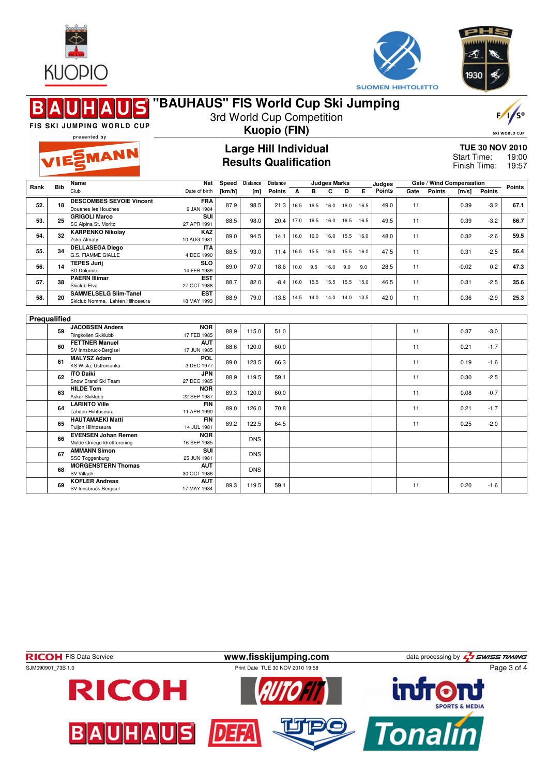



|              |            | FIS SKI JUMPING WORLD CUP                                          | "BAUHAUS" FIS World Cup Ski Jumping                          |                 |                          | 3rd World Cup Competition |      |           |                          |      |      |                         |      |               |                                   |                                                       | $F / \sqrt{S^{\circ}}$ |
|--------------|------------|--------------------------------------------------------------------|--------------------------------------------------------------|-----------------|--------------------------|---------------------------|------|-----------|--------------------------|------|------|-------------------------|------|---------------|-----------------------------------|-------------------------------------------------------|------------------------|
|              |            | presented by                                                       | <b>Kuopio (FIN)</b>                                          |                 |                          |                           |      |           |                          |      |      |                         |      |               |                                   |                                                       | <b>SKI WORLD CUP</b>   |
|              |            | VIESMANN                                                           | <b>Large Hill Individual</b><br><b>Results Qualification</b> |                 |                          |                           |      |           |                          |      |      |                         |      |               |                                   | <b>TUE 30 NOV 2010</b><br>Start Time:<br>Finish Time: |                        |
| Rank         | <b>Bib</b> | Name<br>Club                                                       | Nat<br>Date of birth                                         | Speed<br>[km/h] | <b>Distance</b><br>[m]   | Distance<br><b>Points</b> | А    | в         | <b>Judges Marks</b><br>C | D    | Е    | Judges<br><b>Points</b> | Gate | <b>Points</b> | Gate / Wind Compensation<br>[m/s] | <b>Points</b>                                         | Points                 |
| 52.          | 18         | <b>DESCOMBES SEVOIE Vincent</b><br>Douanes les Houches             | <b>FRA</b><br>9 JAN 1984                                     | 87.9            | 98.5                     | 21.3                      | 16.5 | 16.5      | 16.0                     | 16.0 | 16.5 | 49.0                    | 11   |               | 0.39                              | $-3.2$                                                | 67.1                   |
| 53.          | 25         | <b>GRIGOLI Marco</b><br>SC Alpina St. Moritz                       | SUI<br>27 APR 1991                                           | 88.5            | 98.0                     | 20.4                      | 17.0 | 16.5      | 16.0                     | 16.5 | 16.5 | 49.5                    | 11   |               | 0.39                              | $-3.2$                                                | 66.7                   |
| 54.          | 32         | <b>KARPENKO Nikolay</b><br>Zska-Almaty                             | KAZ<br>10 AUG 1981                                           | 89.0            | 94.5                     | 14.1                      | 16.0 | 16.0      | 16.0                     | 15.5 | 16.0 | 48.0                    | 11   |               | 0.32                              | $-2.6$                                                | 59.5                   |
| 55.          | 34         | <b>DELLASEGA Diego</b><br>G.S. FIAMME GIALLE<br><b>TEPES Jurii</b> | <b>ITA</b><br>4 DEC 1990<br><b>SLO</b>                       | 88.5            | 93.0                     | 11.4                      | 16.5 | 15.5      | 16.0                     | 15.5 | 16.0 | 47.5                    | 11   |               | 0.31                              | $-2.5$                                                | 56.4                   |
| 56.          | 14         | SD Dolomiti<br><b>PAERN Illimar</b>                                | 14 FEB 1989<br><b>EST</b>                                    | 89.0            | 97.0                     | 18.6                      | 10.0 | 9.5       | 16.0                     | 9.0  | 9.0  | 28.5                    | 11   |               | $-0.02$                           | 0.2                                                   | 47.3                   |
| 57.          | 38         | Skiclub Elva<br><b>SAMMELSELG Siim-Tanel</b>                       | 27 OCT 1988<br><b>EST</b>                                    | 88.7            | 82.0                     | $-8.4$                    | 16.0 | 15.5      | 15.5                     | 15.5 | 15.0 | 46.5                    | 11   |               | 0.31                              | $-2.5$                                                | 35.6                   |
| 58.          | 20         | Skiclub Nomme, Lahten Hiihoseura                                   | 18 MAY 1993                                                  | 88.9            | 79.0                     | $-13.8$                   |      | 14.5 14.0 | 14.0 14.0 13.5           |      |      | 42.0                    | 11   |               | 0.36                              | $-2.9$                                                | 25.3                   |
| Prequalified |            |                                                                    |                                                              |                 |                          |                           |      |           |                          |      |      |                         |      |               |                                   |                                                       |                        |
|              | 59         | <b>JACOBSEN Anders</b><br>Ringkollen Skiklubb                      | <b>NOR</b><br>17 FEB 1985                                    | 88.9            | 115.0                    | 51.0                      |      |           |                          |      |      |                         | 11   |               | 0.37                              | $-3.0$                                                |                        |
|              | 60         | <b>FETTNER Manuel</b><br>SV Innsbruck-Bergisel                     | <b>AUT</b><br>17 JUN 1985                                    | 88.6            | 120.0                    | 60.0                      |      |           |                          |      |      |                         | 11   |               | 0.21                              | $-1.7$                                                |                        |
|              | 61         | <b>MALYSZ Adam</b><br>KS Wisla, Ustronianka                        | POL<br>3 DEC 1977                                            | 89.0            | 123.5                    | 66.3                      |      |           |                          |      |      |                         | 11   |               | 0.19                              | $-1.6$                                                |                        |
|              | 62         | <b>ITO Daiki</b><br>Snow Brand Ski Team<br><b>HILDE Tom</b>        | JPN<br>27 DEC 1985<br><b>NOR</b>                             | 88.9            | 119.5                    | 59.1                      |      |           |                          |      |      |                         | 11   |               | 0.30                              | $-2.5$                                                |                        |
|              | 63         | Asker Skiklubb<br><b>LARINTO Ville</b>                             | 22 SEP 1987<br><b>FIN</b>                                    | 89.3            | 120.0                    | 60.0                      |      |           |                          |      |      |                         | 11   |               | 0.08                              | $-0.7$                                                |                        |
|              | 64         | Lahden Hiihtoseura<br><b>HAUTAMAEKI Matti</b>                      | 11 APR 1990<br><b>FIN</b>                                    | 89.0            | 126.0                    | 70.8                      |      |           |                          |      |      |                         | 11   |               | 0.21                              | $-1.7$                                                |                        |
|              | 65         | Puijon Hiihtoseura<br><b>EVENSEN Johan Remen</b>                   | 14 JUL 1981<br><b>NOR</b>                                    | 89.2            | 122.5                    | 64.5                      |      |           |                          |      |      |                         | 11   |               | 0.25                              | $-2.0$                                                |                        |
|              | 66<br>67   | Molde Omegn Idrettforening<br><b>AMMANN Simon</b>                  | 16 SEP 1985<br>SUI                                           |                 | <b>DNS</b><br><b>DNS</b> |                           |      |           |                          |      |      |                         |      |               |                                   |                                                       |                        |
|              | 68         | <b>SSC Toggenburg</b><br><b>MORGENSTERN Thomas</b>                 | 25 JUN 1981<br><b>AUT</b>                                    |                 | <b>DNS</b>               |                           |      |           |                          |      |      |                         |      |               |                                   |                                                       |                        |
|              | 69         | SV Villach<br><b>KOFLER Andreas</b><br>SV Innsbruck-Bergisel       | 30 OCT 1986<br><b>AUT</b><br>17 MAY 1984                     | 89.3            | 119.5                    | 59.1                      |      |           |                          |      |      |                         | 11   |               | 0.20                              | $-1.6$                                                |                        |